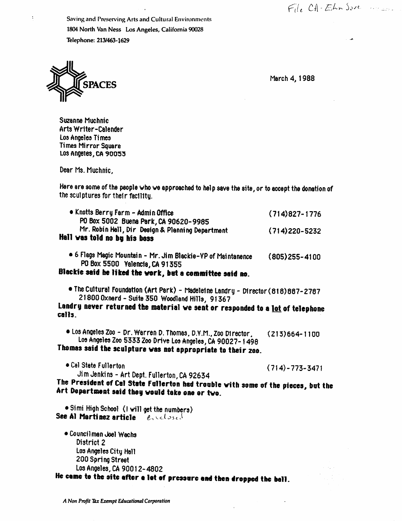$File$   $CA-EB-S-CE$ 

Saving and Preserving Arts and Cultural Environments 1804 North Van Ness Los Angeles, California 90028 Telephone: 213/463-1629



March 4, 1988

Suzanne Muchnic Arts Writer-Calender Los Angeles Times Times Mirror Sqiare L03 Angeies, ca 90053

Dear Ms. Muchnic,

Here are some of the people who we approached to help aave the site, or to accept the donation of the sculptures for their facllltg.

| • Knotts Berry Farm - Admin Office<br>PO Box 5002 Buena Park, CA 90620-9985<br>Mr. Robin Hell, Dir Design & Plenning Department<br>Hall was told no by his boss | $(714)827 - 1776$ |
|-----------------------------------------------------------------------------------------------------------------------------------------------------------------|-------------------|
|                                                                                                                                                                 | $(714)220 - 5232$ |
| • 6 Flags Magic Mountain - Mr. Jim Blackie-YP of Maintanence                                                                                                    | (805)255-4100     |

PO Box 5500 Valencia, CA 91355

Blackie said he liked the work, but a committee said no.

• The Cultural Foundation (Art Park) - Madeleine Landry - Director(818)887-2787 21800 Oxnerd-Suite 350 Woodland Hills, 91367

Landry never returned the material we sent or responded to a lot of telephone calls.

• Los Angeles Zoo - Dr. Warren D. Thomas. D.V.M., Zoo Director, (213)664-1100 Los Angeles Zoo 5333 Zoo Drive Los Angeles, CA 90027-1498 Thomas said the sculpture was not appropriate to their zoo.

• Cal State Fullerton  $(714)$  - 773-3471

Jim Jenkins - Art Dept. Fullerton, CA 92634

The President of Cal State Fullerton had trouble with some of the pieces, but the Art Department said they would take one or two.

• Si mi High School (I will get the numbers) See Al Martinez article exclosed

• Councilman Joel Wachs District 2 Los Angeles City Hall 200 Spring Street Los Angeles, CA 90012-4802

He came to the site after a lot of pressure and then dropped the ball.